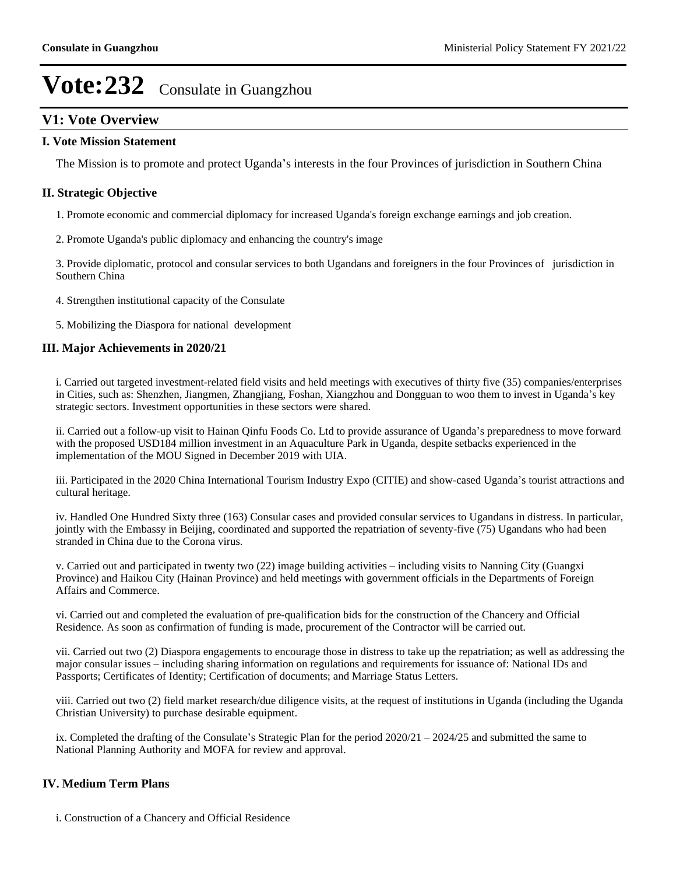## **V1: Vote Overview**

### **I. Vote Mission Statement**

The Mission is to promote and protect Uganda's interests in the four Provinces of jurisdiction in Southern China

### **II. Strategic Objective**

- 1. Promote economic and commercial diplomacy for increased Uganda's foreign exchange earnings and job creation.
- 2. Promote Uganda's public diplomacy and enhancing the country's image

3. Provide diplomatic, protocol and consular services to both Ugandans and foreigners in the four Provinces of jurisdiction in Southern China

- 4. Strengthen institutional capacity of the Consulate
- 5. Mobilizing the Diaspora for national development

### **III. Major Achievements in 2020/21**

i. Carried out targeted investment-related field visits and held meetings with executives of thirty five (35) companies/enterprises in Cities, such as: Shenzhen, Jiangmen, Zhangjiang, Foshan, Xiangzhou and Dongguan to woo them to invest in Uganda's key strategic sectors. Investment opportunities in these sectors were shared.

ii. Carried out a follow-up visit to Hainan Qinfu Foods Co. Ltd to provide assurance of Uganda's preparedness to move forward with the proposed USD184 million investment in an Aquaculture Park in Uganda, despite setbacks experienced in the implementation of the MOU Signed in December 2019 with UIA.

iii. Participated in the 2020 China International Tourism Industry Expo (CITIE) and show-cased Uganda's tourist attractions and cultural heritage.

iv. Handled One Hundred Sixty three (163) Consular cases and provided consular services to Ugandans in distress. In particular, jointly with the Embassy in Beijing, coordinated and supported the repatriation of seventy-five (75) Ugandans who had been stranded in China due to the Corona virus.

v. Carried out and participated in twenty two (22) image building activities – including visits to Nanning City (Guangxi Province) and Haikou City (Hainan Province) and held meetings with government officials in the Departments of Foreign Affairs and Commerce.

vi. Carried out and completed the evaluation of pre-qualification bids for the construction of the Chancery and Official Residence. As soon as confirmation of funding is made, procurement of the Contractor will be carried out.

vii. Carried out two (2) Diaspora engagements to encourage those in distress to take up the repatriation; as well as addressing the major consular issues – including sharing information on regulations and requirements for issuance of: National IDs and Passports; Certificates of Identity; Certification of documents; and Marriage Status Letters.

viii. Carried out two (2) field market research/due diligence visits, at the request of institutions in Uganda (including the Uganda Christian University) to purchase desirable equipment.

ix. Completed the drafting of the Consulate's Strategic Plan for the period  $2020/21 - 2024/25$  and submitted the same to National Planning Authority and MOFA for review and approval.

### **IV. Medium Term Plans**

i. Construction of a Chancery and Official Residence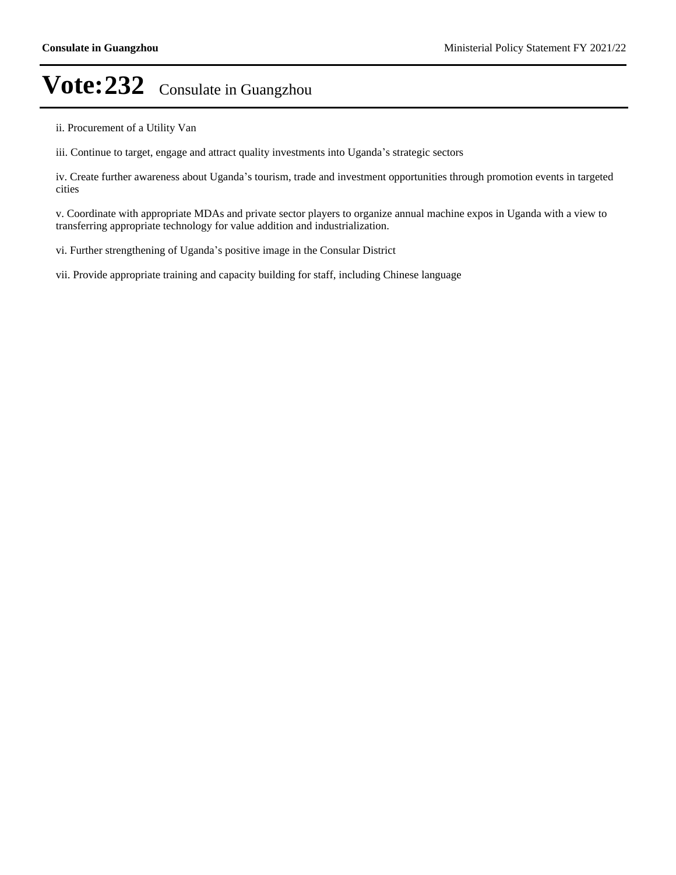ii. Procurement of a Utility Van

iii. Continue to target, engage and attract quality investments into Uganda's strategic sectors

iv. Create further awareness about Uganda's tourism, trade and investment opportunities through promotion events in targeted cities

v. Coordinate with appropriate MDAs and private sector players to organize annual machine expos in Uganda with a view to transferring appropriate technology for value addition and industrialization.

vi. Further strengthening of Uganda's positive image in the Consular District

vii. Provide appropriate training and capacity building for staff, including Chinese language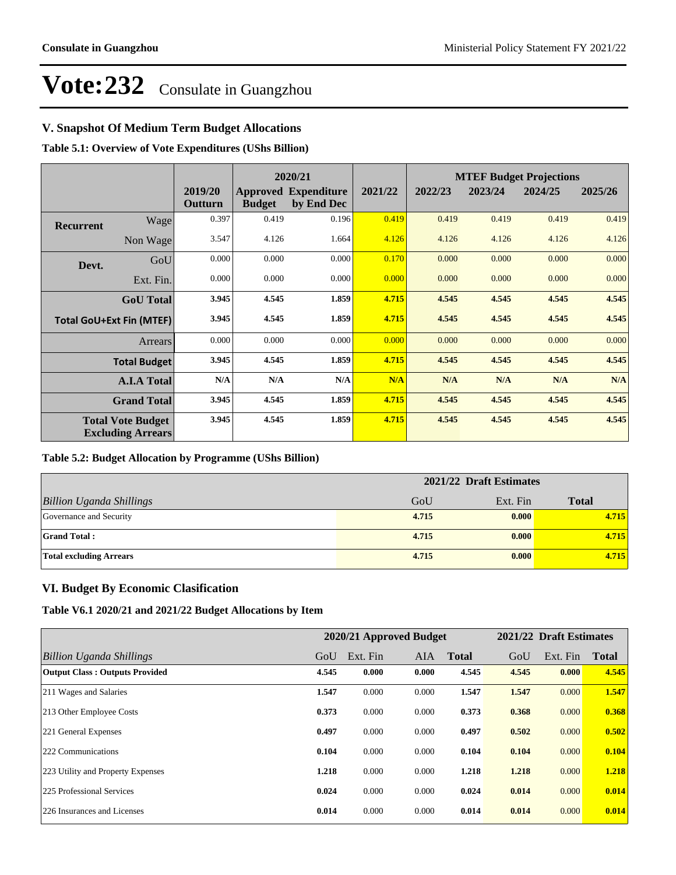## **V. Snapshot Of Medium Term Budget Allocations**

**Table 5.1: Overview of Vote Expenditures (UShs Billion)**

|                  |                                                      | 2020/21            |               |                                           |         |         |         | <b>MTEF Budget Projections</b> |         |
|------------------|------------------------------------------------------|--------------------|---------------|-------------------------------------------|---------|---------|---------|--------------------------------|---------|
|                  |                                                      | 2019/20<br>Outturn | <b>Budget</b> | <b>Approved Expenditure</b><br>by End Dec | 2021/22 | 2022/23 | 2023/24 | 2024/25                        | 2025/26 |
| <b>Recurrent</b> | Wage                                                 | 0.397              | 0.419         | 0.196                                     | 0.419   | 0.419   | 0.419   | 0.419                          | 0.419   |
|                  | Non Wage                                             | 3.547              | 4.126         | 1.664                                     | 4.126   | 4.126   | 4.126   | 4.126                          | 4.126   |
| Devt.            | GoU                                                  | 0.000              | 0.000         | 0.000                                     | 0.170   | 0.000   | 0.000   | 0.000                          | 0.000   |
|                  | Ext. Fin.                                            | 0.000              | 0.000         | 0.000                                     | 0.000   | 0.000   | 0.000   | 0.000                          | 0.000   |
|                  | <b>GoU</b> Total                                     | 3.945              | 4.545         | 1.859                                     | 4.715   | 4.545   | 4.545   | 4.545                          | 4.545   |
|                  | <b>Total GoU+Ext Fin (MTEF)</b>                      | 3.945              | 4.545         | 1.859                                     | 4.715   | 4.545   | 4.545   | 4.545                          | 4.545   |
|                  | Arrears                                              | 0.000              | 0.000         | 0.000                                     | 0.000   | 0.000   | 0.000   | 0.000                          | 0.000   |
|                  | <b>Total Budget</b>                                  | 3.945              | 4.545         | 1.859                                     | 4.715   | 4.545   | 4.545   | 4.545                          | 4.545   |
|                  | <b>A.I.A Total</b>                                   | N/A                | N/A           | N/A                                       | N/A     | N/A     | N/A     | N/A                            | N/A     |
|                  | <b>Grand Total</b>                                   | 3.945              | 4.545         | 1.859                                     | 4.715   | 4.545   | 4.545   | 4.545                          | 4.545   |
|                  | <b>Total Vote Budget</b><br><b>Excluding Arrears</b> | 3.945              | 4.545         | 1.859                                     | 4.715   | 4.545   | 4.545   | 4.545                          | 4.545   |

### **Table 5.2: Budget Allocation by Programme (UShs Billion)**

|                                 | 2021/22 Draft Estimates |          |              |  |  |
|---------------------------------|-------------------------|----------|--------------|--|--|
| <b>Billion Uganda Shillings</b> | GoU                     | Ext. Fin | <b>Total</b> |  |  |
| Governance and Security         | 4.715                   | 0.000    | 4.715        |  |  |
| <b>Grand Total:</b>             | 4.715                   | 0.000    | 4.715        |  |  |
| <b>Total excluding Arrears</b>  | 4.715                   | 0.000    | 4.715        |  |  |

### **VI. Budget By Economic Clasification**

**Table V6.1 2020/21 and 2021/22 Budget Allocations by Item**

|                                       |       | 2020/21 Approved Budget |            |              |       | 2021/22 Draft Estimates |              |
|---------------------------------------|-------|-------------------------|------------|--------------|-------|-------------------------|--------------|
| Billion Uganda Shillings              | GoU   | Ext. Fin                | <b>AIA</b> | <b>Total</b> | GoU   | Ext. Fin                | <b>Total</b> |
| <b>Output Class: Outputs Provided</b> | 4.545 | 0.000                   | 0.000      | 4.545        | 4.545 | 0.000                   | 4.545        |
| 211 Wages and Salaries                | 1.547 | 0.000                   | 0.000      | 1.547        | 1.547 | 0.000                   | 1.547        |
| 213 Other Employee Costs              | 0.373 | 0.000                   | 0.000      | 0.373        | 0.368 | 0.000                   | 0.368        |
| 221 General Expenses                  | 0.497 | 0.000                   | 0.000      | 0.497        | 0.502 | 0.000                   | 0.502        |
| 222 Communications                    | 0.104 | 0.000                   | 0.000      | 0.104        | 0.104 | 0.000                   | 0.104        |
| 223 Utility and Property Expenses     | 1.218 | 0.000                   | 0.000      | 1.218        | 1.218 | 0.000                   | 1.218        |
| 225 Professional Services             | 0.024 | 0.000                   | 0.000      | 0.024        | 0.014 | 0.000                   | 0.014        |
| 226 Insurances and Licenses           | 0.014 | 0.000                   | 0.000      | 0.014        | 0.014 | 0.000                   | 0.014        |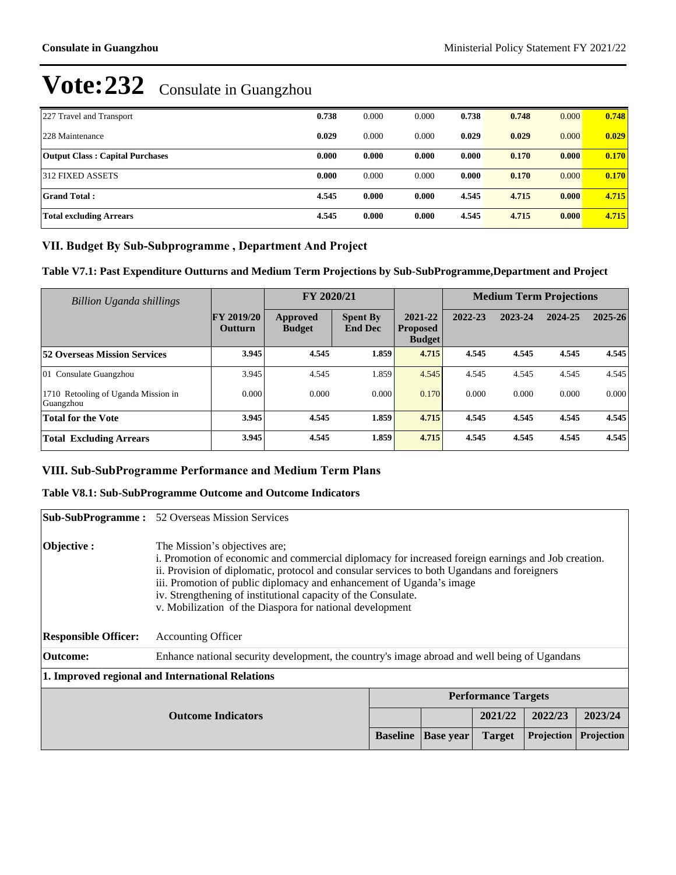| 227 Travel and Transport               | 0.738 | 0.000 | 0.000 | 0.738 | 0.748 | 0.000 | 0.748 |
|----------------------------------------|-------|-------|-------|-------|-------|-------|-------|
| 228 Maintenance                        | 0.029 | 0.000 | 0.000 | 0.029 | 0.029 | 0.000 | 0.029 |
| <b>Output Class: Capital Purchases</b> | 0.000 | 0.000 | 0.000 | 0.000 | 0.170 | 0.000 | 0.170 |
| 312 FIXED ASSETS                       | 0.000 | 0.000 | 0.000 | 0.000 | 0.170 | 0.000 | 0.170 |
| <b>Grand Total:</b>                    | 4.545 | 0.000 | 0.000 | 4.545 | 4.715 | 0.000 | 4.715 |
| <b>Total excluding Arrears</b>         | 4.545 | 0.000 | 0.000 | 4.545 | 4.715 | 0.000 | 4.715 |

## VII. Budget By Sub-Subprogramme, Department And Project

**Table V7.1: Past Expenditure Outturns and Medium Term Projections by Sub-SubProgramme,Department and Project**

| Billion Uganda shillings                         |                                     |                           | FY 2020/21                        |                                             | <b>Medium Term Projections</b> |         |         |             |
|--------------------------------------------------|-------------------------------------|---------------------------|-----------------------------------|---------------------------------------------|--------------------------------|---------|---------|-------------|
|                                                  | <b>FY 2019/20</b><br><b>Outturn</b> | Approved<br><b>Budget</b> | <b>Spent By</b><br><b>End Dec</b> | 2021-22<br><b>Proposed</b><br><b>Budget</b> | 2022-23                        | 2023-24 | 2024-25 | $2025 - 26$ |
| <b>52 Overseas Mission Services</b>              | 3.945                               | 4.545                     | 1.859                             | 4.715                                       | 4.545                          | 4.545   | 4.545   | 4.545       |
| 01 Consulate Guangzhou                           | 3.945                               | 4.545                     | .859                              | 4.545                                       | 4.545                          | 4.545   | 4.545   | 4.545       |
| 1710 Retooling of Uganda Mission in<br>Guangzhou | 0.000                               | 0.000                     | 0.000                             | 0.170                                       | 0.000                          | 0.000   | 0.000   | 0.000       |
| <b>Total for the Vote</b>                        | 3.945                               | 4.545                     | 1.859                             | 4.715                                       | 4.545                          | 4.545   | 4.545   | 4.545       |
| <b>Total Excluding Arrears</b>                   | 3.945                               | 4.545                     | 1.859                             | 4.715                                       | 4.545                          | 4.545   | 4.545   | 4.545       |

## **VIII. Sub-SubProgramme Performance and Medium Term Plans**

### **Table V8.1: Sub-SubProgramme Outcome and Outcome Indicators**

|                             | <b>Sub-SubProgramme:</b> 52 Overseas Mission Services                                                                                                                                                                                                                                                                                                                                                                                   |                 |                  |               |                   |                   |  |
|-----------------------------|-----------------------------------------------------------------------------------------------------------------------------------------------------------------------------------------------------------------------------------------------------------------------------------------------------------------------------------------------------------------------------------------------------------------------------------------|-----------------|------------------|---------------|-------------------|-------------------|--|
| Objective :                 | The Mission's objectives are;<br>i. Promotion of economic and commercial diplomacy for increased foreign earnings and Job creation.<br>ii. Provision of diplomatic, protocol and consular services to both Ugandans and foreigners<br>iii. Promotion of public diplomacy and enhancement of Uganda's image<br>iv. Strengthening of institutional capacity of the Consulate.<br>v. Mobilization of the Diaspora for national development |                 |                  |               |                   |                   |  |
| <b>Responsible Officer:</b> | <b>Accounting Officer</b>                                                                                                                                                                                                                                                                                                                                                                                                               |                 |                  |               |                   |                   |  |
| <b>Outcome:</b>             | Enhance national security development, the country's image abroad and well being of Ugandans                                                                                                                                                                                                                                                                                                                                            |                 |                  |               |                   |                   |  |
|                             | 1. Improved regional and International Relations                                                                                                                                                                                                                                                                                                                                                                                        |                 |                  |               |                   |                   |  |
| <b>Performance Targets</b>  |                                                                                                                                                                                                                                                                                                                                                                                                                                         |                 |                  |               |                   |                   |  |
|                             | <b>Outcome Indicators</b>                                                                                                                                                                                                                                                                                                                                                                                                               |                 |                  | 2021/22       | 2022/23           | 2023/24           |  |
|                             |                                                                                                                                                                                                                                                                                                                                                                                                                                         | <b>Baseline</b> | <b>Base year</b> | <b>Target</b> | <b>Projection</b> | <b>Projection</b> |  |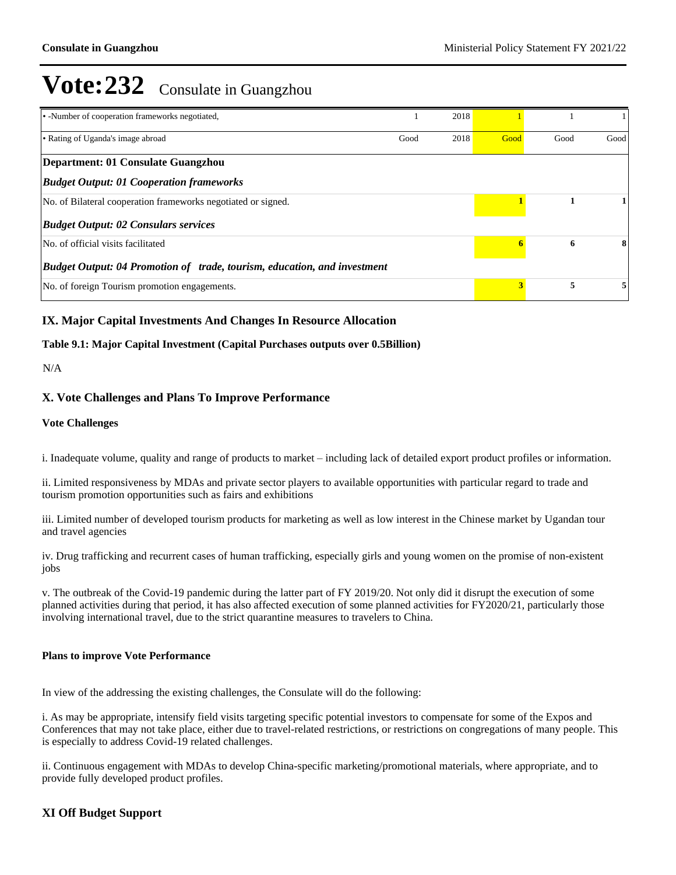| • -Number of cooperation frameworks negotiated,                                 |      | 2018 |      |      |      |
|---------------------------------------------------------------------------------|------|------|------|------|------|
| • Rating of Uganda's image abroad                                               | Good | 2018 | Good | Good | Good |
| Department: 01 Consulate Guangzhou                                              |      |      |      |      |      |
| <b>Budget Output: 01 Cooperation frameworks</b>                                 |      |      |      |      |      |
| No. of Bilateral cooperation frameworks negotiated or signed.                   |      |      |      |      |      |
| <b>Budget Output: 02 Consulars services</b>                                     |      |      |      |      |      |
| No. of official visits facilitated                                              |      |      | 6    | 6    | 8    |
| <b>Budget Output: 04 Promotion of trade, tourism, education, and investment</b> |      |      |      |      |      |
| No. of foreign Tourism promotion engagements.                                   |      |      | 3    | 5    |      |

### **IX. Major Capital Investments And Changes In Resource Allocation**

### **Table 9.1: Major Capital Investment (Capital Purchases outputs over 0.5Billion)**

### N/A

### **X. Vote Challenges and Plans To Improve Performance**

### **Vote Challenges**

i. Inadequate volume, quality and range of products to market – including lack of detailed export product profiles or information.

ii. Limited responsiveness by MDAs and private sector players to available opportunities with particular regard to trade and tourism promotion opportunities such as fairs and exhibitions

iii. Limited number of developed tourism products for marketing as well as low interest in the Chinese market by Ugandan tour and travel agencies

iv. Drug trafficking and recurrent cases of human trafficking, especially girls and young women on the promise of non-existent jobs

v. The outbreak of the Covid-19 pandemic during the latter part of FY 2019/20. Not only did it disrupt the execution of some planned activities during that period, it has also affected execution of some planned activities for FY2020/21, particularly those involving international travel, due to the strict quarantine measures to travelers to China.

### **Plans to improve Vote Performance**

In view of the addressing the existing challenges, the Consulate will do the following:

i. As may be appropriate, intensify field visits targeting specific potential investors to compensate for some of the Expos and Conferences that may not take place, either due to travel-related restrictions, or restrictions on congregations of many people. This is especially to address Covid-19 related challenges.

ii. Continuous engagement with MDAs to develop China-specific marketing/promotional materials, where appropriate, and to provide fully developed product profiles.

### **XI Off Budget Support**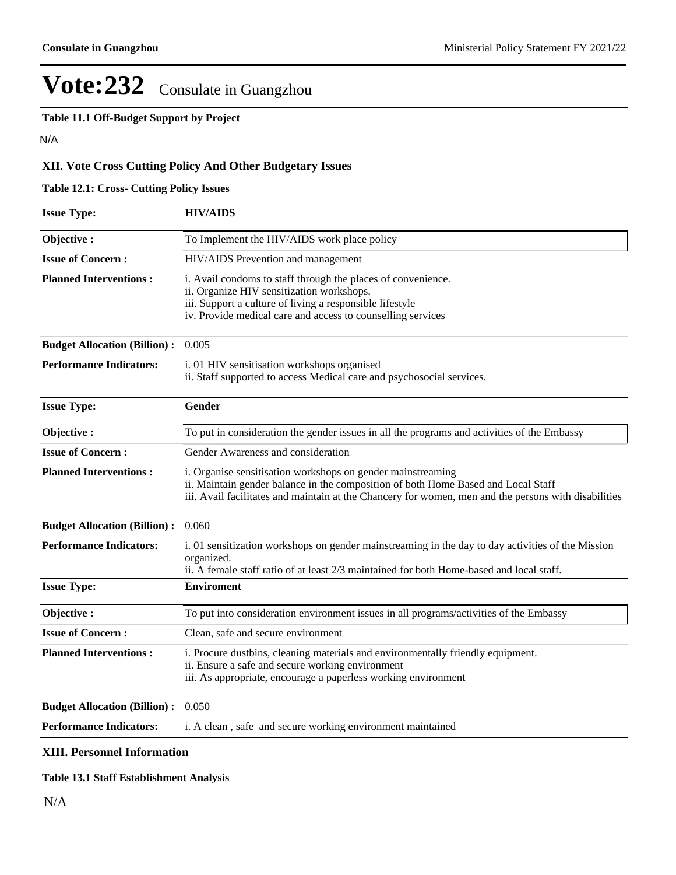**Table 11.1 Off-Budget Support by Project**

N/A

## **XII. Vote Cross Cutting Policy And Other Budgetary Issues**

## **Table 12.1: Cross- Cutting Policy Issues**

| <b>Issue Type:</b>                  | <b>HIV/AIDS</b>                                                                                                                                                                                                                                          |
|-------------------------------------|----------------------------------------------------------------------------------------------------------------------------------------------------------------------------------------------------------------------------------------------------------|
| Objective:                          | To Implement the HIV/AIDS work place policy                                                                                                                                                                                                              |
| <b>Issue of Concern:</b>            | HIV/AIDS Prevention and management                                                                                                                                                                                                                       |
| <b>Planned Interventions:</b>       | i. Avail condoms to staff through the places of convenience.<br>ii. Organize HIV sensitization workshops.<br>iii. Support a culture of living a responsible lifestyle<br>iv. Provide medical care and access to counselling services                     |
| <b>Budget Allocation (Billion):</b> | 0.005                                                                                                                                                                                                                                                    |
| <b>Performance Indicators:</b>      | i. 01 HIV sensitisation workshops organised<br>ii. Staff supported to access Medical care and psychosocial services.                                                                                                                                     |
| <b>Issue Type:</b>                  | Gender                                                                                                                                                                                                                                                   |
| Objective:                          | To put in consideration the gender issues in all the programs and activities of the Embassy                                                                                                                                                              |
| <b>Issue of Concern:</b>            | Gender Awareness and consideration                                                                                                                                                                                                                       |
| <b>Planned Interventions:</b>       | i. Organise sensitisation workshops on gender mainstreaming<br>ii. Maintain gender balance in the composition of both Home Based and Local Staff<br>iii. Avail facilitates and maintain at the Chancery for women, men and the persons with disabilities |
| <b>Budget Allocation (Billion):</b> | 0.060                                                                                                                                                                                                                                                    |
| <b>Performance Indicators:</b>      | i. 01 sensitization workshops on gender mainstreaming in the day to day activities of the Mission<br>organized.<br>ii. A female staff ratio of at least 2/3 maintained for both Home-based and local staff.                                              |
| <b>Issue Type:</b>                  | <b>Enviroment</b>                                                                                                                                                                                                                                        |
| Objective:                          | To put into consideration environment issues in all programs/activities of the Embassy                                                                                                                                                                   |
| <b>Issue of Concern:</b>            | Clean, safe and secure environment                                                                                                                                                                                                                       |
| <b>Planned Interventions:</b>       | i. Procure dustbins, cleaning materials and environmentally friendly equipment.<br>ii. Ensure a safe and secure working environment<br>iii. As appropriate, encourage a paperless working environment                                                    |
| <b>Budget Allocation (Billion):</b> | 0.050                                                                                                                                                                                                                                                    |
| <b>Performance Indicators:</b>      | i. A clean, safe and secure working environment maintained                                                                                                                                                                                               |

### **XIII. Personnel Information**

### **Table 13.1 Staff Establishment Analysis**